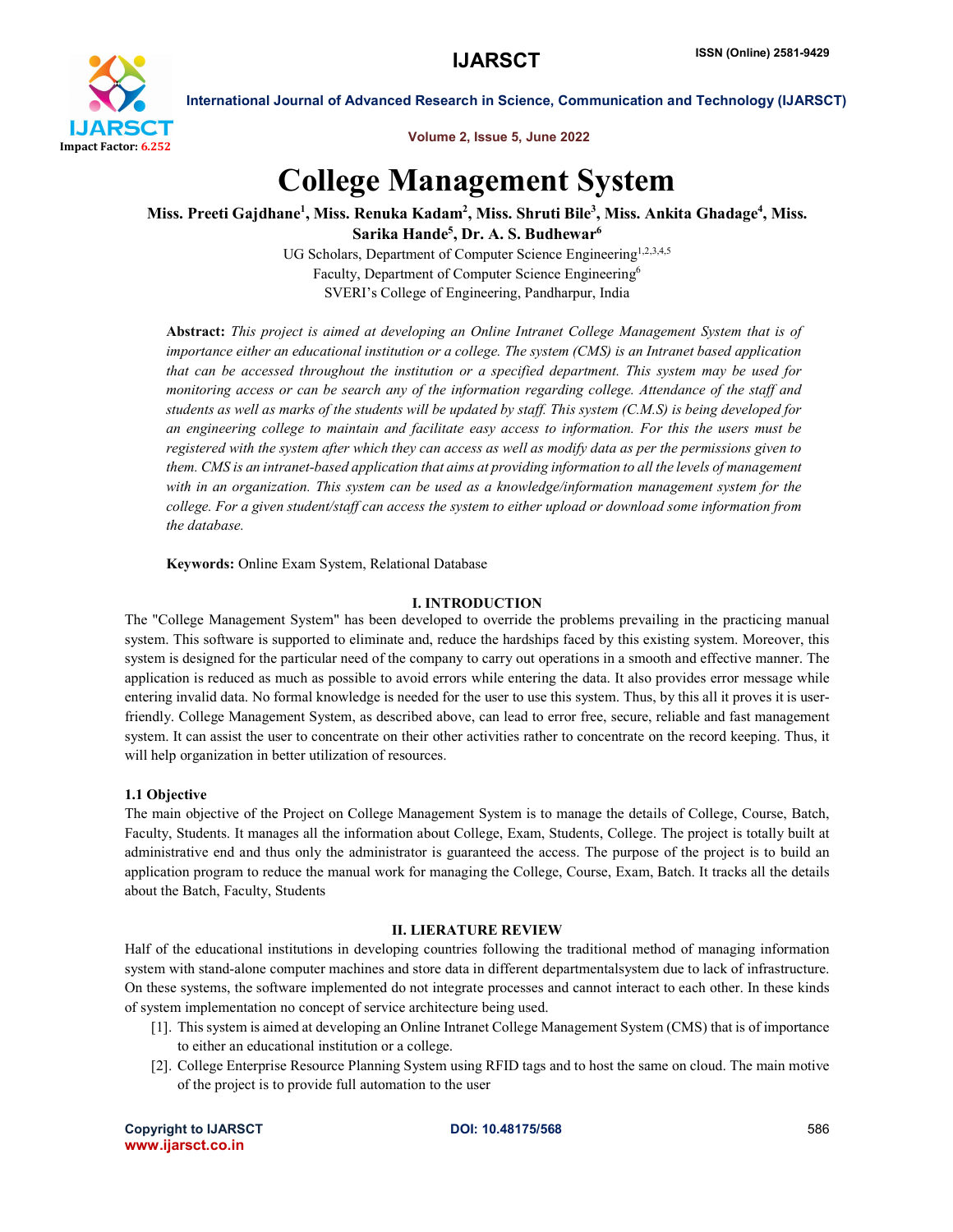

International Journal of Advanced Research in Science, Communication and Technology (IJARSCT)

Volume 2, Issue 5, June 2022

# College Management System

## Miss. Preeti Gajdhane<sup>1</sup>, Miss. Renuka Kadam<sup>2</sup>, Miss. Shruti Bile<sup>3</sup>, Miss. Ankita Ghadage<sup>4</sup>, Miss. Sarika Hande $^5$ , Dr. A. S. Budhewar $^6$

UG Scholars, Department of Computer Science Engineering<sup>1,2,3,4,5</sup> Faculty, Department of Computer Science Engineering<sup>6</sup> SVERI's College of Engineering, Pandharpur, India

Abstract: *This project is aimed at developing an Online Intranet College Management System that is of importance either an educational institution or a college. The system (CMS) is an Intranet based application that can be accessed throughout the institution or a specified department. This system may be used for monitoring access or can be search any of the information regarding college. Attendance of the staff and students as well as marks of the students will be updated by staff. This system (C.M.S) is being developed for an engineering college to maintain and facilitate easy access to information. For this the users must be registered with the system after which they can access as well as modify data as per the permissions given to them. CMS is an intranet-based application that aims at providing information to all the levels of management with in an organization. This system can be used as a knowledge/information management system for the college. For a given student/staff can access the system to either upload or download some information from the database.*

Keywords: Online Exam System, Relational Database

#### I. INTRODUCTION

The "College Management System" has been developed to override the problems prevailing in the practicing manual system. This software is supported to eliminate and, reduce the hardships faced by this existing system. Moreover, this system is designed for the particular need of the company to carry out operations in a smooth and effective manner. The application is reduced as much as possible to avoid errors while entering the data. It also provides error message while entering invalid data. No formal knowledge is needed for the user to use this system. Thus, by this all it proves it is userfriendly. College Management System, as described above, can lead to error free, secure, reliable and fast management system. It can assist the user to concentrate on their other activities rather to concentrate on the record keeping. Thus, it will help organization in better utilization of resources.

#### 1.1 Objective

The main objective of the Project on College Management System is to manage the details of College, Course, Batch, Faculty, Students. It manages all the information about College, Exam, Students, College. The project is totally built at administrative end and thus only the administrator is guaranteed the access. The purpose of the project is to build an application program to reduce the manual work for managing the College, Course, Exam, Batch. It tracks all the details about the Batch, Faculty, Students

#### II. LIERATURE REVIEW

Half of the educational institutions in developing countries following the traditional method of managing information system with stand-alone computer machines and store data in different departmentalsystem due to lack of infrastructure. On these systems, the software implemented do not integrate processes and cannot interact to each other. In these kinds of system implementation no concept of service architecture being used.

- [1]. This system is aimed at developing an Online Intranet College Management System (CMS) that is of importance to either an educational institution or a college.
- [2]. College Enterprise Resource Planning System using RFID tags and to host the same on cloud. The main motive of the project is to provide full automation to the user

Copyright to IJARSCT **DOI: 10.48175/568** 586 www.ijarsct.co.in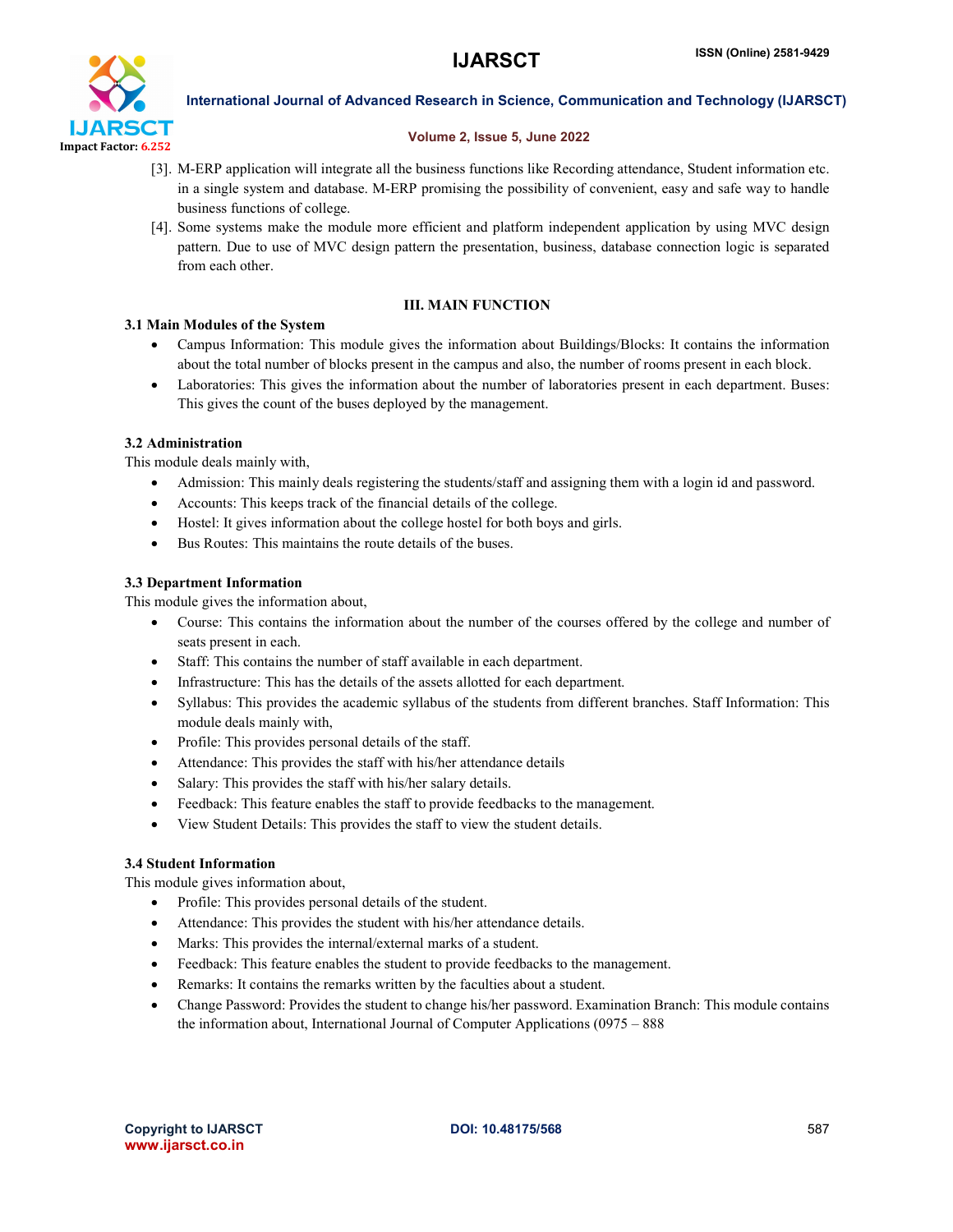

International Journal of Advanced Research in Science, Communication and Technology (IJARSCT)

#### Volume 2, Issue 5, June 2022

- [3]. M-ERP application will integrate all the business functions like Recording attendance, Student information etc. in a single system and database. M-ERP promising the possibility of convenient, easy and safe way to handle business functions of college.
- [4]. Some systems make the module more efficient and platform independent application by using MVC design pattern. Due to use of MVC design pattern the presentation, business, database connection logic is separated from each other.

### III. MAIN FUNCTION

#### 3.1 Main Modules of the System

- Campus Information: This module gives the information about Buildings/Blocks: It contains the information about the total number of blocks present in the campus and also, the number of rooms present in each block.
- Laboratories: This gives the information about the number of laboratories present in each department. Buses: This gives the count of the buses deployed by the management.

#### 3.2 Administration

This module deals mainly with,

- Admission: This mainly deals registering the students/staff and assigning them with a login id and password.
- Accounts: This keeps track of the financial details of the college.
- Hostel: It gives information about the college hostel for both boys and girls.
- Bus Routes: This maintains the route details of the buses.

#### 3.3 Department Information

This module gives the information about,

- Course: This contains the information about the number of the courses offered by the college and number of seats present in each.
- Staff: This contains the number of staff available in each department.
- Infrastructure: This has the details of the assets allotted for each department.
- Syllabus: This provides the academic syllabus of the students from different branches. Staff Information: This module deals mainly with,
- Profile: This provides personal details of the staff.
- Attendance: This provides the staff with his/her attendance details
- Salary: This provides the staff with his/her salary details.
- Feedback: This feature enables the staff to provide feedbacks to the management.
- View Student Details: This provides the staff to view the student details.

#### 3.4 Student Information

This module gives information about,

- Profile: This provides personal details of the student.
- Attendance: This provides the student with his/her attendance details.
- Marks: This provides the internal/external marks of a student.
- Feedback: This feature enables the student to provide feedbacks to the management.
- Remarks: It contains the remarks written by the faculties about a student.
- Change Password: Provides the student to change his/her password. Examination Branch: This module contains the information about, International Journal of Computer Applications (0975 – 888